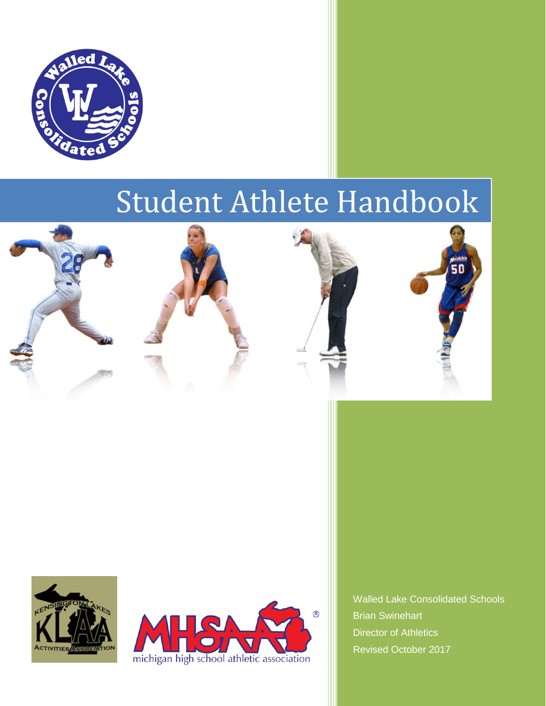

# Student Athlete Handbook













Walled Lake Consolidated Schools Brian Swinehart Director of Athletics Revised October 2017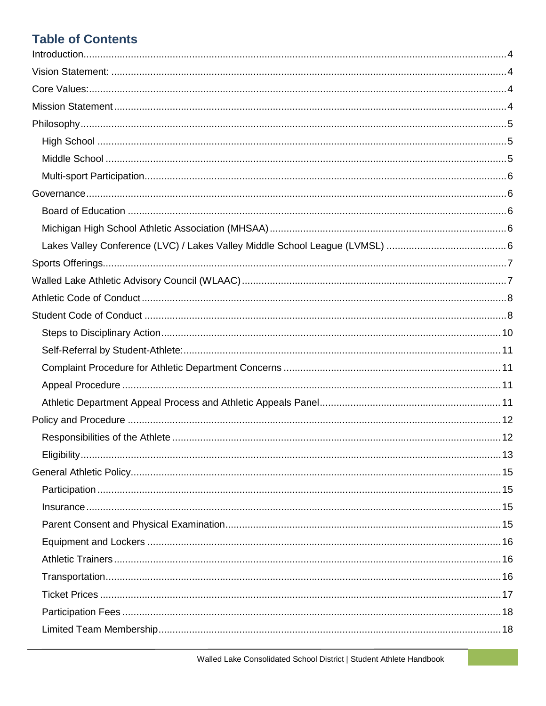# **Table of Contents**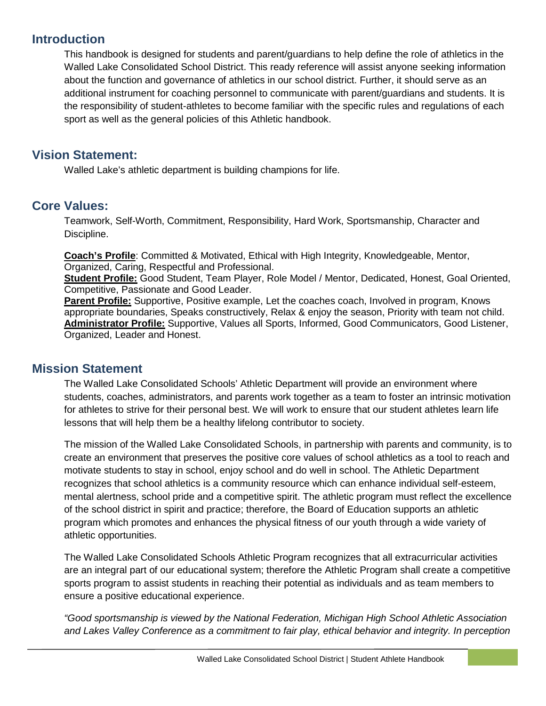# <span id="page-3-0"></span>**Introduction**

This handbook is designed for students and parent/guardians to help define the role of athletics in the Walled Lake Consolidated School District. This ready reference will assist anyone seeking information about the function and governance of athletics in our school district. Further, it should serve as an additional instrument for coaching personnel to communicate with parent/guardians and students. It is the responsibility of student-athletes to become familiar with the specific rules and regulations of each sport as well as the general policies of this Athletic handbook.

# <span id="page-3-1"></span>**Vision Statement:**

Walled Lake's athletic department is building champions for life.

# <span id="page-3-2"></span>**Core Values:**

Teamwork, Self-Worth, Commitment, Responsibility, Hard Work, Sportsmanship, Character and Discipline.

**Coach's Profile**: Committed & Motivated, Ethical with High Integrity, Knowledgeable, Mentor, Organized, Caring, Respectful and Professional.

**Student Profile:** Good Student, Team Player, Role Model / Mentor, Dedicated, Honest, Goal Oriented, Competitive, Passionate and Good Leader.

**Parent Profile:** Supportive, Positive example, Let the coaches coach, Involved in program, Knows appropriate boundaries, Speaks constructively, Relax & enjoy the season, Priority with team not child. **Administrator Profile:** Supportive, Values all Sports, Informed, Good Communicators, Good Listener, Organized, Leader and Honest.

# <span id="page-3-3"></span>**Mission Statement**

The Walled Lake Consolidated Schools' Athletic Department will provide an environment where students, coaches, administrators, and parents work together as a team to foster an intrinsic motivation for athletes to strive for their personal best. We will work to ensure that our student athletes learn life lessons that will help them be a healthy lifelong contributor to society.

The mission of the Walled Lake Consolidated Schools, in partnership with parents and community, is to create an environment that preserves the positive core values of school athletics as a tool to reach and motivate students to stay in school, enjoy school and do well in school. The Athletic Department recognizes that school athletics is a community resource which can enhance individual self-esteem, mental alertness, school pride and a competitive spirit. The athletic program must reflect the excellence of the school district in spirit and practice; therefore, the Board of Education supports an athletic program which promotes and enhances the physical fitness of our youth through a wide variety of athletic opportunities.

The Walled Lake Consolidated Schools Athletic Program recognizes that all extracurricular activities are an integral part of our educational system; therefore the Athletic Program shall create a competitive sports program to assist students in reaching their potential as individuals and as team members to ensure a positive educational experience.

*"Good sportsmanship is viewed by the National Federation, Michigan High School Athletic Association and Lakes Valley Conference as a commitment to fair play, ethical behavior and integrity. In perception*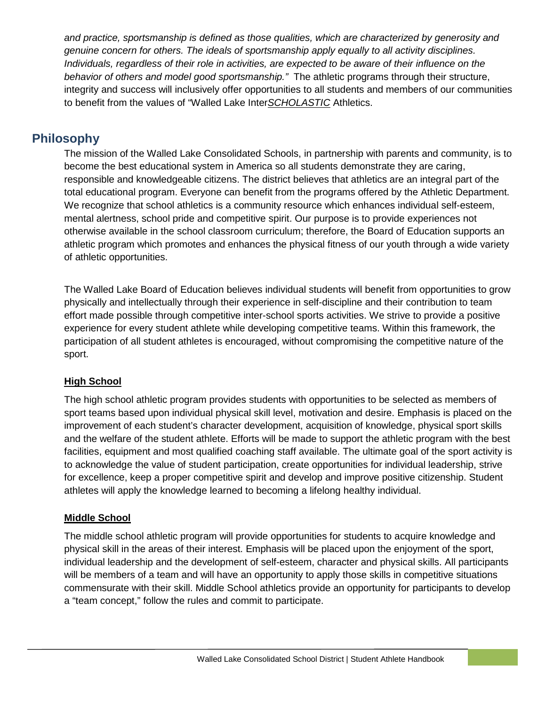*and practice, sportsmanship is defined as those qualities, which are characterized by generosity and genuine concern for others. The ideals of sportsmanship apply equally to all activity disciplines. Individuals, regardless of their role in activities, are expected to be aware of their influence on the behavior of others and model good sportsmanship."* The athletic programs through their structure, integrity and success will inclusively offer opportunities to all students and members of our communities to benefit from the values of "Walled Lake Inter*SCHOLASTIC* Athletics.

# <span id="page-4-0"></span>**Philosophy**

The mission of the Walled Lake Consolidated Schools, in partnership with parents and community, is to become the best educational system in America so all students demonstrate they are caring, responsible and knowledgeable citizens. The district believes that athletics are an integral part of the total educational program. Everyone can benefit from the programs offered by the Athletic Department. We recognize that school athletics is a community resource which enhances individual self-esteem, mental alertness, school pride and competitive spirit. Our purpose is to provide experiences not otherwise available in the school classroom curriculum; therefore, the Board of Education supports an athletic program which promotes and enhances the physical fitness of our youth through a wide variety of athletic opportunities.

The Walled Lake Board of Education believes individual students will benefit from opportunities to grow physically and intellectually through their experience in self-discipline and their contribution to team effort made possible through competitive inter-school sports activities. We strive to provide a positive experience for every student athlete while developing competitive teams. Within this framework, the participation of all student athletes is encouraged, without compromising the competitive nature of the sport.

# <span id="page-4-1"></span>**High School**

The high school athletic program provides students with opportunities to be selected as members of sport teams based upon individual physical skill level, motivation and desire. Emphasis is placed on the improvement of each student's character development, acquisition of knowledge, physical sport skills and the welfare of the student athlete. Efforts will be made to support the athletic program with the best facilities, equipment and most qualified coaching staff available. The ultimate goal of the sport activity is to acknowledge the value of student participation, create opportunities for individual leadership, strive for excellence, keep a proper competitive spirit and develop and improve positive citizenship. Student athletes will apply the knowledge learned to becoming a lifelong healthy individual.

# <span id="page-4-2"></span>**Middle School**

<span id="page-4-3"></span>The middle school athletic program will provide opportunities for students to acquire knowledge and physical skill in the areas of their interest. Emphasis will be placed upon the enjoyment of the sport, individual leadership and the development of self-esteem, character and physical skills. All participants will be members of a team and will have an opportunity to apply those skills in competitive situations commensurate with their skill. Middle School athletics provide an opportunity for participants to develop a "team concept," follow the rules and commit to participate.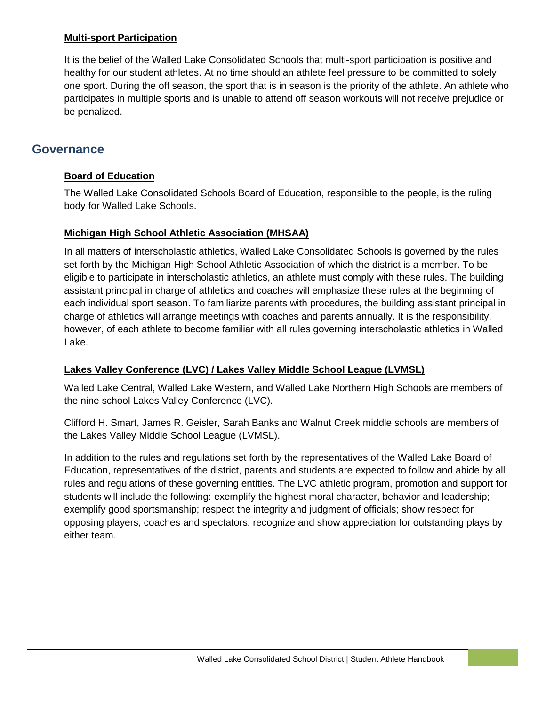#### **Multi-sport Participation**

It is the belief of the Walled Lake Consolidated Schools that multi-sport participation is positive and healthy for our student athletes. At no time should an athlete feel pressure to be committed to solely one sport. During the off season, the sport that is in season is the priority of the athlete. An athlete who participates in multiple sports and is unable to attend off season workouts will not receive prejudice or be penalized.

# <span id="page-5-1"></span><span id="page-5-0"></span>**Governance**

#### **Board of Education**

The Walled Lake Consolidated Schools Board of Education, responsible to the people, is the ruling body for Walled Lake Schools.

#### <span id="page-5-2"></span>**Michigan High School Athletic Association (MHSAA)**

In all matters of interscholastic athletics, Walled Lake Consolidated Schools is governed by the rules set forth by the Michigan High School Athletic Association of which the district is a member. To be eligible to participate in interscholastic athletics, an athlete must comply with these rules. The building assistant principal in charge of athletics and coaches will emphasize these rules at the beginning of each individual sport season. To familiarize parents with procedures, the building assistant principal in charge of athletics will arrange meetings with coaches and parents annually. It is the responsibility, however, of each athlete to become familiar with all rules governing interscholastic athletics in Walled Lake.

#### <span id="page-5-3"></span>**Lakes Valley Conference (LVC) / Lakes Valley Middle School League (LVMSL)**

Walled Lake Central, Walled Lake Western, and Walled Lake Northern High Schools are members of the nine school Lakes Valley Conference (LVC).

Clifford H. Smart, James R. Geisler, Sarah Banks and Walnut Creek middle schools are members of the Lakes Valley Middle School League (LVMSL).

<span id="page-5-4"></span>In addition to the rules and regulations set forth by the representatives of the Walled Lake Board of Education, representatives of the district, parents and students are expected to follow and abide by all rules and regulations of these governing entities. The LVC athletic program, promotion and support for students will include the following: exemplify the highest moral character, behavior and leadership; exemplify good sportsmanship; respect the integrity and judgment of officials; show respect for opposing players, coaches and spectators; recognize and show appreciation for outstanding plays by either team.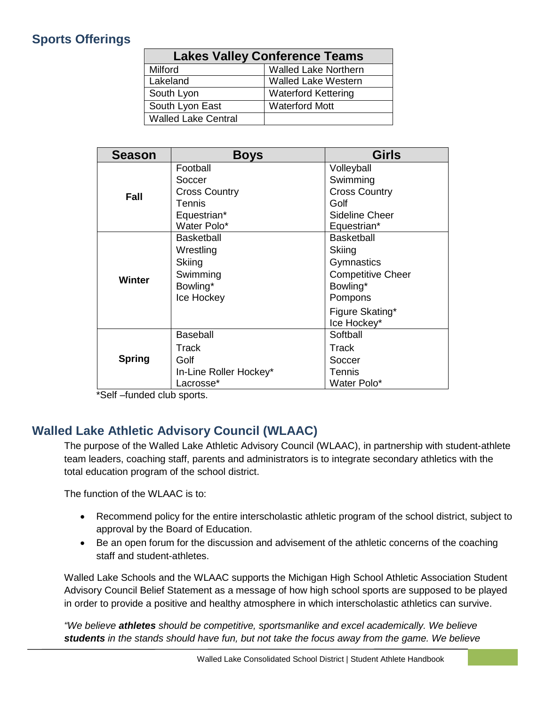# **Sports Offerings**

| <b>Lakes Valley Conference Teams</b> |                             |  |  |
|--------------------------------------|-----------------------------|--|--|
| Milford                              | <b>Walled Lake Northern</b> |  |  |
| Lakeland                             | <b>Walled Lake Western</b>  |  |  |
| South Lyon                           | <b>Waterford Kettering</b>  |  |  |
| South Lyon East                      | <b>Waterford Mott</b>       |  |  |
| <b>Walled Lake Central</b>           |                             |  |  |

| <b>Season</b> | <b>Boys</b>            | <b>Girls</b>             |
|---------------|------------------------|--------------------------|
| <b>Fall</b>   | Football               | Volleyball               |
|               | Soccer                 | Swimming                 |
|               | <b>Cross Country</b>   | <b>Cross Country</b>     |
|               | Tennis                 | Golf                     |
|               | Equestrian*            | Sideline Cheer           |
|               | Water Polo*            | Equestrian*              |
| <b>Winter</b> | <b>Basketball</b>      | <b>Basketball</b>        |
|               | Wrestling              | Skiing                   |
|               | Skiing                 | Gymnastics               |
|               | Swimming               | <b>Competitive Cheer</b> |
|               | Bowling*               | Bowling*                 |
|               | Ice Hockey             | Pompons                  |
|               |                        | Figure Skating*          |
|               |                        | Ice Hockey*              |
|               | <b>Baseball</b>        | Softball                 |
|               | Track                  | Track                    |
| <b>Spring</b> | Golf                   | Soccer                   |
|               | In-Line Roller Hockey* | Tennis                   |
|               | Lacrosse*              | Water Polo*              |

\*Self –funded club sports.

# <span id="page-6-0"></span>**Walled Lake Athletic Advisory Council (WLAAC)**

The purpose of the Walled Lake Athletic Advisory Council (WLAAC), in partnership with student-athlete team leaders, coaching staff, parents and administrators is to integrate secondary athletics with the total education program of the school district.

The function of the WLAAC is to:

- Recommend policy for the entire interscholastic athletic program of the school district, subject to approval by the Board of Education.
- Be an open forum for the discussion and advisement of the athletic concerns of the coaching staff and student-athletes.

Walled Lake Schools and the WLAAC supports the Michigan High School Athletic Association Student Advisory Council Belief Statement as a message of how high school sports are supposed to be played in order to provide a positive and healthy atmosphere in which interscholastic athletics can survive.

*"We believe athletes should be competitive, sportsmanlike and excel academically. We believe students in the stands should have fun, but not take the focus away from the game. We believe*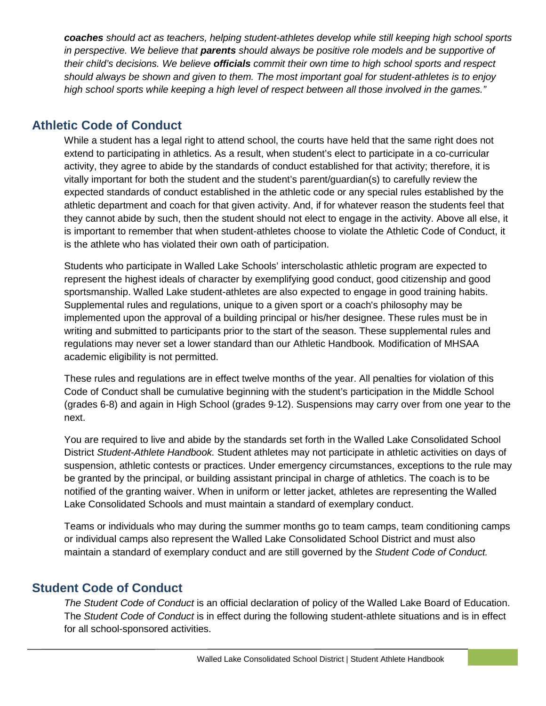*coaches should act as teachers, helping student-athletes develop while still keeping high school sports in perspective. We believe that parents should always be positive role models and be supportive of their child's decisions. We believe officials commit their own time to high school sports and respect should always be shown and given to them. The most important goal for student-athletes is to enjoy high school sports while keeping a high level of respect between all those involved in the games."*

# <span id="page-7-0"></span>**Athletic Code of Conduct**

While a student has a legal right to attend school, the courts have held that the same right does not extend to participating in athletics. As a result, when student's elect to participate in a co-curricular activity, they agree to abide by the standards of conduct established for that activity; therefore, it is vitally important for both the student and the student's parent/guardian(s) to carefully review the expected standards of conduct established in the athletic code or any special rules established by the athletic department and coach for that given activity. And, if for whatever reason the students feel that they cannot abide by such, then the student should not elect to engage in the activity. Above all else, it is important to remember that when student-athletes choose to violate the Athletic Code of Conduct, it is the athlete who has violated their own oath of participation.

Students who participate in Walled Lake Schools' interscholastic athletic program are expected to represent the highest ideals of character by exemplifying good conduct, good citizenship and good sportsmanship. Walled Lake student-athletes are also expected to engage in good training habits. Supplemental rules and regulations, unique to a given sport or a coach's philosophy may be implemented upon the approval of a building principal or his/her designee. These rules must be in writing and submitted to participants prior to the start of the season. These supplemental rules and regulations may never set a lower standard than our Athletic Handbook*.* Modification of MHSAA academic eligibility is not permitted.

These rules and regulations are in effect twelve months of the year. All penalties for violation of this Code of Conduct shall be cumulative beginning with the student's participation in the Middle School (grades 6-8) and again in High School (grades 9-12). Suspensions may carry over from one year to the next.

You are required to live and abide by the standards set forth in the Walled Lake Consolidated School District *Student-Athlete Handbook.* Student athletes may not participate in athletic activities on days of suspension, athletic contests or practices. Under emergency circumstances, exceptions to the rule may be granted by the principal, or building assistant principal in charge of athletics. The coach is to be notified of the granting waiver. When in uniform or letter jacket, athletes are representing the Walled Lake Consolidated Schools and must maintain a standard of exemplary conduct.

Teams or individuals who may during the summer months go to team camps, team conditioning camps or individual camps also represent the Walled Lake Consolidated School District and must also maintain a standard of exemplary conduct and are still governed by the *Student Code of Conduct.*

# <span id="page-7-1"></span>**Student Code of Conduct**

*The Student Code of Conduct* is an official declaration of policy of the Walled Lake Board of Education. The *Student Code of Conduct* is in effect during the following student-athlete situations and is in effect for all school-sponsored activities.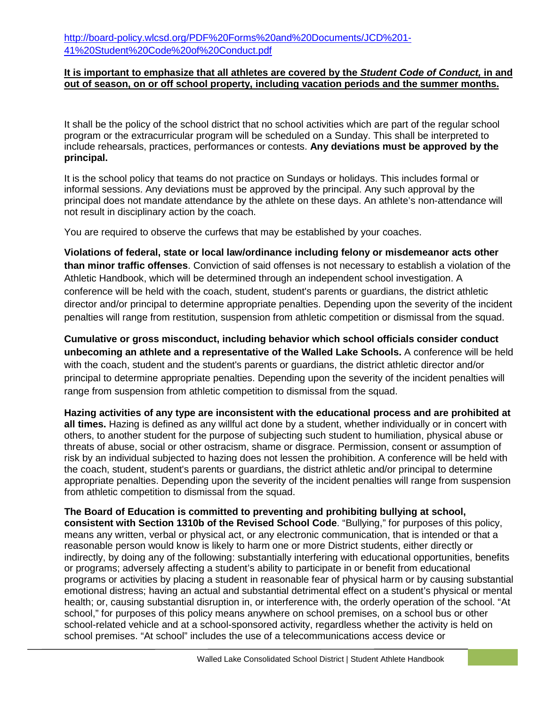#### **It is important to emphasize that all athletes are covered by the** *Student Code of Conduct,* **in and out of season, on or off school property, including vacation periods and the summer months.**

It shall be the policy of the school district that no school activities which are part of the regular school program or the extracurricular program will be scheduled on a Sunday. This shall be interpreted to include rehearsals, practices, performances or contests. **Any deviations must be approved by the principal.**

It is the school policy that teams do not practice on Sundays or holidays. This includes formal or informal sessions. Any deviations must be approved by the principal. Any such approval by the principal does not mandate attendance by the athlete on these days. An athlete's non-attendance will not result in disciplinary action by the coach.

You are required to observe the curfews that may be established by your coaches.

**Violations of federal, state or local law/ordinance including felony or misdemeanor acts other than minor traffic offenses**. Conviction of said offenses is not necessary to establish a violation of the Athletic Handbook, which will be determined through an independent school investigation. A conference will be held with the coach, student, student's parents or guardians, the district athletic director and/or principal to determine appropriate penalties. Depending upon the severity of the incident penalties will range from restitution, suspension from athletic competition or dismissal from the squad.

**Cumulative or gross misconduct, including behavior which school officials consider conduct unbecoming an athlete and a representative of the Walled Lake Schools.** A conference will be held with the coach, student and the student's parents or guardians, the district athletic director and/or principal to determine appropriate penalties. Depending upon the severity of the incident penalties will range from suspension from athletic competition to dismissal from the squad.

**Hazing activities of any type are inconsistent with the educational process and are prohibited at all times.** Hazing is defined as any willful act done by a student, whether individually or in concert with others, to another student for the purpose of subjecting such student to humiliation, physical abuse or threats of abuse, social or other ostracism, shame or disgrace. Permission, consent or assumption of risk by an individual subjected to hazing does not lessen the prohibition. A conference will be held with the coach, student, student's parents or guardians, the district athletic and/or principal to determine appropriate penalties. Depending upon the severity of the incident penalties will range from suspension from athletic competition to dismissal from the squad.

**The Board of Education is committed to preventing and prohibiting bullying at school, consistent with Section 1310b of the Revised School Code**. "Bullying," for purposes of this policy, means any written, verbal or physical act, or any electronic communication, that is intended or that a reasonable person would know is likely to harm one or more District students, either directly or indirectly, by doing any of the following: substantially interfering with educational opportunities, benefits or programs; adversely affecting a student's ability to participate in or benefit from educational programs or activities by placing a student in reasonable fear of physical harm or by causing substantial emotional distress; having an actual and substantial detrimental effect on a student's physical or mental health; or, causing substantial disruption in, or interference with, the orderly operation of the school. "At school," for purposes of this policy means anywhere on school premises, on a school bus or other school-related vehicle and at a school-sponsored activity, regardless whether the activity is held on school premises. "At school" includes the use of a telecommunications access device or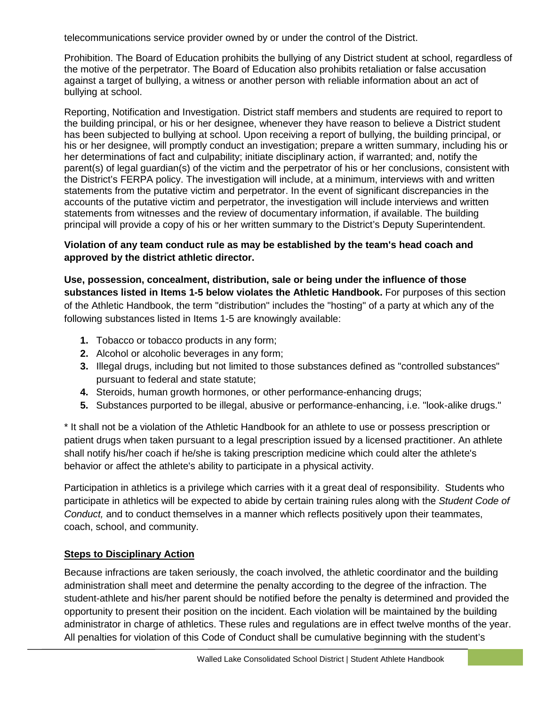telecommunications service provider owned by or under the control of the District.

Prohibition. The Board of Education prohibits the bullying of any District student at school, regardless of the motive of the perpetrator. The Board of Education also prohibits retaliation or false accusation against a target of bullying, a witness or another person with reliable information about an act of bullying at school.

Reporting, Notification and Investigation. District staff members and students are required to report to the building principal, or his or her designee, whenever they have reason to believe a District student has been subjected to bullying at school. Upon receiving a report of bullying, the building principal, or his or her designee, will promptly conduct an investigation; prepare a written summary, including his or her determinations of fact and culpability; initiate disciplinary action, if warranted; and, notify the parent(s) of legal guardian(s) of the victim and the perpetrator of his or her conclusions, consistent with the District's FERPA policy. The investigation will include, at a minimum, interviews with and written statements from the putative victim and perpetrator. In the event of significant discrepancies in the accounts of the putative victim and perpetrator, the investigation will include interviews and written statements from witnesses and the review of documentary information, if available. The building principal will provide a copy of his or her written summary to the District's Deputy Superintendent.

#### **Violation of any team conduct rule as may be established by the team's head coach and approved by the district athletic director.**

**Use, possession, concealment, distribution, sale or being under the influence of those substances listed in Items 1-5 below violates the Athletic Handbook.** For purposes of this section of the Athletic Handbook, the term "distribution" includes the "hosting" of a party at which any of the following substances listed in Items 1-5 are knowingly available:

- **1.** Tobacco or tobacco products in any form;
- **2.** Alcohol or alcoholic beverages in any form;
- **3.** Illegal drugs, including but not limited to those substances defined as "controlled substances" pursuant to federal and state statute;
- **4.** Steroids, human growth hormones, or other performance-enhancing drugs;
- **5.** Substances purported to be illegal, abusive or performance-enhancing, i.e. "look-alike drugs."

\* It shall not be a violation of the Athletic Handbook for an athlete to use or possess prescription or patient drugs when taken pursuant to a legal prescription issued by a licensed practitioner. An athlete shall notify his/her coach if he/she is taking prescription medicine which could alter the athlete's behavior or affect the athlete's ability to participate in a physical activity.

Participation in athletics is a privilege which carries with it a great deal of responsibility. Students who participate in athletics will be expected to abide by certain training rules along with the *Student Code of Conduct,* and to conduct themselves in a manner which reflects positively upon their teammates, coach, school, and community.

# <span id="page-9-0"></span>**Steps to Disciplinary Action**

Because infractions are taken seriously, the coach involved, the athletic coordinator and the building administration shall meet and determine the penalty according to the degree of the infraction. The student-athlete and his/her parent should be notified before the penalty is determined and provided the opportunity to present their position on the incident. Each violation will be maintained by the building administrator in charge of athletics. These rules and regulations are in effect twelve months of the year. All penalties for violation of this Code of Conduct shall be cumulative beginning with the student's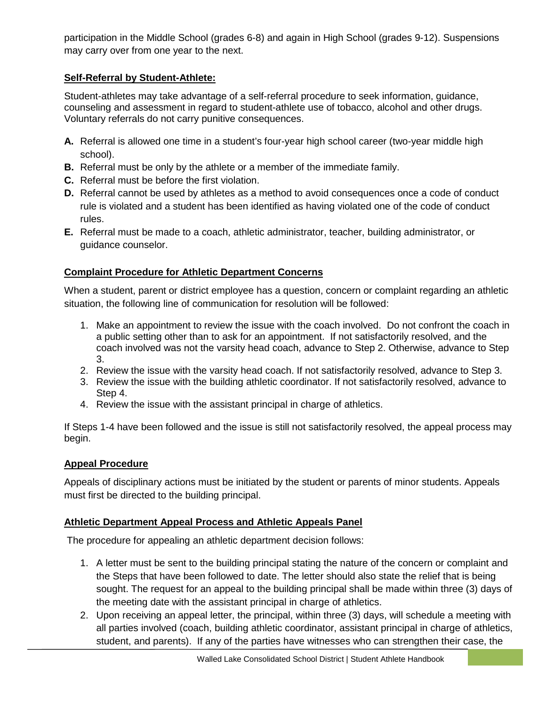participation in the Middle School (grades 6-8) and again in High School (grades 9-12). Suspensions may carry over from one year to the next.

## <span id="page-10-0"></span>**Self-Referral by Student-Athlete:**

Student-athletes may take advantage of a self-referral procedure to seek information, guidance, counseling and assessment in regard to student-athlete use of tobacco, alcohol and other drugs. Voluntary referrals do not carry punitive consequences.

- **A.** Referral is allowed one time in a student's four-year high school career (two-year middle high school).
- **B.** Referral must be only by the athlete or a member of the immediate family.
- **C.** Referral must be before the first violation.
- **D.** Referral cannot be used by athletes as a method to avoid consequences once a code of conduct rule is violated and a student has been identified as having violated one of the code of conduct rules.
- **E.** Referral must be made to a coach, athletic administrator, teacher, building administrator, or guidance counselor.

#### <span id="page-10-1"></span>**Complaint Procedure for Athletic Department Concerns**

When a student, parent or district employee has a question, concern or complaint regarding an athletic situation, the following line of communication for resolution will be followed:

- 1. Make an appointment to review the issue with the coach involved. Do not confront the coach in a public setting other than to ask for an appointment. If not satisfactorily resolved, and the coach involved was not the varsity head coach, advance to Step 2. Otherwise, advance to Step 3.
- 2. Review the issue with the varsity head coach. If not satisfactorily resolved, advance to Step 3.
- 3. Review the issue with the building athletic coordinator. If not satisfactorily resolved, advance to Step 4.
- 4. Review the issue with the assistant principal in charge of athletics.

If Steps 1-4 have been followed and the issue is still not satisfactorily resolved, the appeal process may begin.

#### <span id="page-10-2"></span>**Appeal Procedure**

Appeals of disciplinary actions must be initiated by the student or parents of minor students. Appeals must first be directed to the building principal.

#### <span id="page-10-3"></span>**Athletic Department Appeal Process and Athletic Appeals Panel**

The procedure for appealing an athletic department decision follows:

- 1. A letter must be sent to the building principal stating the nature of the concern or complaint and the Steps that have been followed to date. The letter should also state the relief that is being sought. The request for an appeal to the building principal shall be made within three (3) days of the meeting date with the assistant principal in charge of athletics.
- 2. Upon receiving an appeal letter, the principal, within three (3) days, will schedule a meeting with all parties involved (coach, building athletic coordinator, assistant principal in charge of athletics, student, and parents). If any of the parties have witnesses who can strengthen their case, the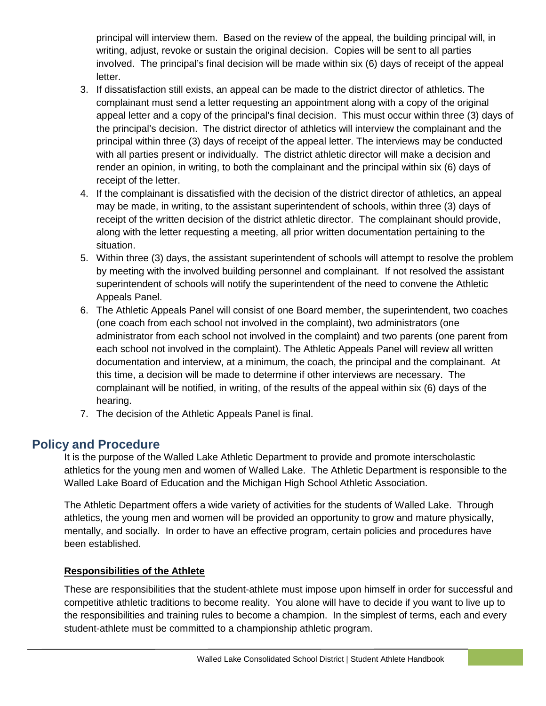principal will interview them. Based on the review of the appeal, the building principal will, in writing, adjust, revoke or sustain the original decision. Copies will be sent to all parties involved. The principal's final decision will be made within six (6) days of receipt of the appeal letter.

- 3. If dissatisfaction still exists, an appeal can be made to the district director of athletics. The complainant must send a letter requesting an appointment along with a copy of the original appeal letter and a copy of the principal's final decision. This must occur within three (3) days of the principal's decision. The district director of athletics will interview the complainant and the principal within three (3) days of receipt of the appeal letter. The interviews may be conducted with all parties present or individually. The district athletic director will make a decision and render an opinion, in writing, to both the complainant and the principal within six (6) days of receipt of the letter.
- 4. If the complainant is dissatisfied with the decision of the district director of athletics, an appeal may be made, in writing, to the assistant superintendent of schools, within three (3) days of receipt of the written decision of the district athletic director. The complainant should provide, along with the letter requesting a meeting, all prior written documentation pertaining to the situation.
- 5. Within three (3) days, the assistant superintendent of schools will attempt to resolve the problem by meeting with the involved building personnel and complainant. If not resolved the assistant superintendent of schools will notify the superintendent of the need to convene the Athletic Appeals Panel.
- 6. The Athletic Appeals Panel will consist of one Board member, the superintendent, two coaches (one coach from each school not involved in the complaint), two administrators (one administrator from each school not involved in the complaint) and two parents (one parent from each school not involved in the complaint). The Athletic Appeals Panel will review all written documentation and interview, at a minimum, the coach, the principal and the complainant. At this time, a decision will be made to determine if other interviews are necessary. The complainant will be notified, in writing, of the results of the appeal within six (6) days of the hearing.
- 7. The decision of the Athletic Appeals Panel is final.

# <span id="page-11-0"></span>**Policy and Procedure**

It is the purpose of the Walled Lake Athletic Department to provide and promote interscholastic athletics for the young men and women of Walled Lake. The Athletic Department is responsible to the Walled Lake Board of Education and the Michigan High School Athletic Association.

The Athletic Department offers a wide variety of activities for the students of Walled Lake. Through athletics, the young men and women will be provided an opportunity to grow and mature physically, mentally, and socially. In order to have an effective program, certain policies and procedures have been established.

#### <span id="page-11-1"></span>**Responsibilities of the Athlete**

These are responsibilities that the student-athlete must impose upon himself in order for successful and competitive athletic traditions to become reality. You alone will have to decide if you want to live up to the responsibilities and training rules to become a champion. In the simplest of terms, each and every student-athlete must be committed to a championship athletic program.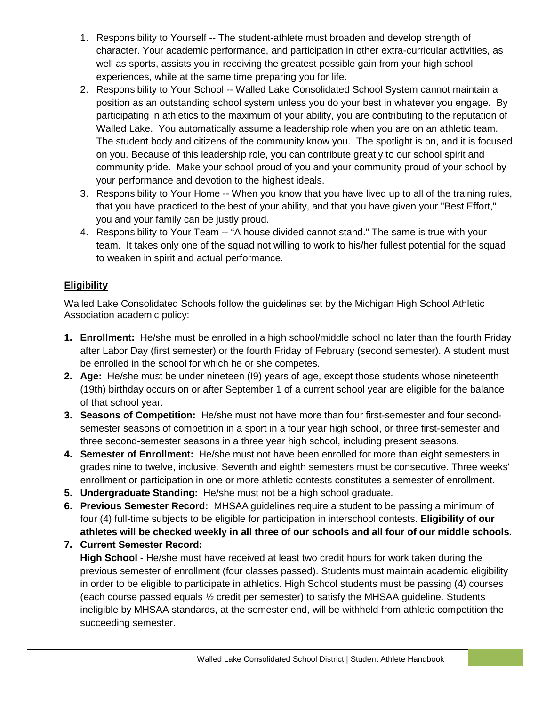- 1. Responsibility to Yourself -- The student-athlete must broaden and develop strength of character. Your academic performance, and participation in other extra-curricular activities, as well as sports, assists you in receiving the greatest possible gain from your high school experiences, while at the same time preparing you for life.
- 2. Responsibility to Your School -- Walled Lake Consolidated School System cannot maintain a position as an outstanding school system unless you do your best in whatever you engage. By participating in athletics to the maximum of your ability, you are contributing to the reputation of Walled Lake. You automatically assume a leadership role when you are on an athletic team. The student body and citizens of the community know you. The spotlight is on, and it is focused on you. Because of this leadership role, you can contribute greatly to our school spirit and community pride. Make your school proud of you and your community proud of your school by your performance and devotion to the highest ideals.
- 3. Responsibility to Your Home -- When you know that you have lived up to all of the training rules, that you have practiced to the best of your ability, and that you have given your "Best Effort," you and your family can be justly proud.
- 4. Responsibility to Your Team -- "A house divided cannot stand." The same is true with your team. It takes only one of the squad not willing to work to his/her fullest potential for the squad to weaken in spirit and actual performance.

#### <span id="page-12-0"></span>**Eligibility**

Walled Lake Consolidated Schools follow the guidelines set by the Michigan High School Athletic Association academic policy:

- **1. Enrollment:** He/she must be enrolled in a high school/middle school no later than the fourth Friday after Labor Day (first semester) or the fourth Friday of February (second semester). A student must be enrolled in the school for which he or she competes.
- **2. Age:** He/she must be under nineteen (I9) years of age, except those students whose nineteenth (19th) birthday occurs on or after September 1 of a current school year are eligible for the balance of that school year.
- **3. Seasons of Competition:** He/she must not have more than four first-semester and four secondsemester seasons of competition in a sport in a four year high school, or three first-semester and three second-semester seasons in a three year high school, including present seasons.
- **4. Semester of Enrollment:** He/she must not have been enrolled for more than eight semesters in grades nine to twelve, inclusive. Seventh and eighth semesters must be consecutive. Three weeks' enrollment or participation in one or more athletic contests constitutes a semester of enrollment.
- **5. Undergraduate Standing:** He/she must not be a high school graduate.
- **6. Previous Semester Record:** MHSAA guidelines require a student to be passing a minimum of four (4) full-time subjects to be eligible for participation in interschool contests. **Eligibility of our athletes will be checked weekly in all three of our schools and all four of our middle schools.**

**7. Current Semester Record: High School -** He/she must have received at least two credit hours for work taken during the previous semester of enrollment (four classes passed). Students must maintain academic eligibility in order to be eligible to participate in athletics. High School students must be passing (4) courses (each course passed equals ½ credit per semester) to satisfy the MHSAA guideline. Students ineligible by MHSAA standards, at the semester end, will be withheld from athletic competition the succeeding semester.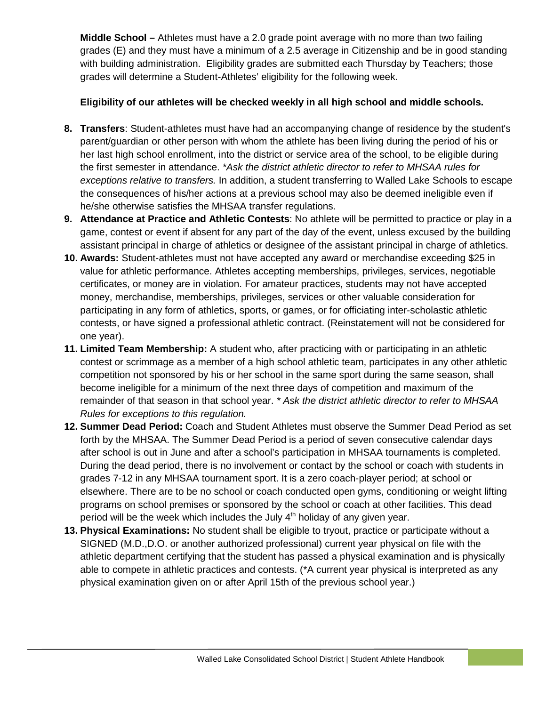**Middle School –** Athletes must have a 2.0 grade point average with no more than two failing grades (E) and they must have a minimum of a 2.5 average in Citizenship and be in good standing with building administration. Eligibility grades are submitted each Thursday by Teachers; those grades will determine a Student-Athletes' eligibility for the following week.

## **Eligibility of our athletes will be checked weekly in all high school and middle schools.**

- **8. Transfers**: Student-athletes must have had an accompanying change of residence by the student's parent/guardian or other person with whom the athlete has been living during the period of his or her last high school enrollment, into the district or service area of the school, to be eligible during the first semester in attendance. *\*Ask the district athletic director to refer to MHSAA rules for exceptions relative to transfers.* In addition, a student transferring to Walled Lake Schools to escape the consequences of his/her actions at a previous school may also be deemed ineligible even if he/she otherwise satisfies the MHSAA transfer regulations.
- **9. Attendance at Practice and Athletic Contests**: No athlete will be permitted to practice or play in a game, contest or event if absent for any part of the day of the event, unless excused by the building assistant principal in charge of athletics or designee of the assistant principal in charge of athletics.
- **10. Awards:** Student-athletes must not have accepted any award or merchandise exceeding \$25 in value for athletic performance. Athletes accepting memberships, privileges, services, negotiable certificates, or money are in violation. For amateur practices, students may not have accepted money, merchandise, memberships, privileges, services or other valuable consideration for participating in any form of athletics, sports, or games, or for officiating inter-scholastic athletic contests, or have signed a professional athletic contract. (Reinstatement will not be considered for one year).
- **11. Limited Team Membership:** A student who, after practicing with or participating in an athletic contest or scrimmage as a member of a high school athletic team, participates in any other athletic competition not sponsored by his or her school in the same sport during the same season, shall become ineligible for a minimum of the next three days of competition and maximum of the remainder of that season in that school year. *\* Ask the district athletic director to refer to MHSAA Rules for exceptions to this regulation.*
- **12. Summer Dead Period:** Coach and Student Athletes must observe the Summer Dead Period as set forth by the MHSAA. The Summer Dead Period is a period of seven consecutive calendar days after school is out in June and after a school's participation in MHSAA tournaments is completed. During the dead period, there is no involvement or contact by the school or coach with students in grades 7-12 in any MHSAA tournament sport. It is a zero coach-player period; at school or elsewhere. There are to be no school or coach conducted open gyms, conditioning or weight lifting programs on school premises or sponsored by the school or coach at other facilities. This dead period will be the week which includes the July  $4<sup>th</sup>$  holiday of any given year.
- <span id="page-13-0"></span>**13. Physical Examinations:** No student shall be eligible to tryout, practice or participate without a SIGNED (M.D.,D.O. or another authorized professional) current year physical on file with the athletic department certifying that the student has passed a physical examination and is physically able to compete in athletic practices and contests. (\*A current year physical is interpreted as any physical examination given on or after April 15th of the previous school year.)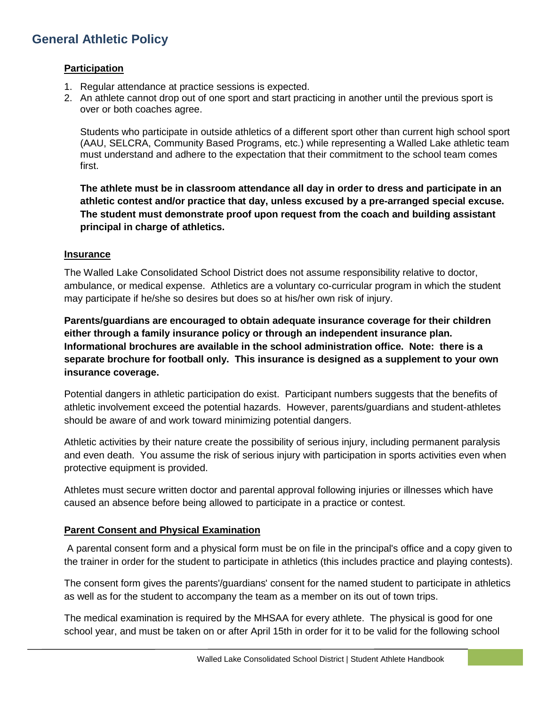# <span id="page-14-0"></span>**General Athletic Policy**

#### **Participation**

- 1. Regular attendance at practice sessions is expected.
- 2. An athlete cannot drop out of one sport and start practicing in another until the previous sport is over or both coaches agree.

Students who participate in outside athletics of a different sport other than current high school sport (AAU, SELCRA, Community Based Programs, etc.) while representing a Walled Lake athletic team must understand and adhere to the expectation that their commitment to the school team comes first.

**The athlete must be in classroom attendance all day in order to dress and participate in an athletic contest and/or practice that day, unless excused by a pre-arranged special excuse. The student must demonstrate proof upon request from the coach and building assistant principal in charge of athletics.**

#### <span id="page-14-1"></span>**Insurance**

The Walled Lake Consolidated School District does not assume responsibility relative to doctor, ambulance, or medical expense. Athletics are a voluntary co-curricular program in which the student may participate if he/she so desires but does so at his/her own risk of injury.

**Parents/guardians are encouraged to obtain adequate insurance coverage for their children either through a family insurance policy or through an independent insurance plan. Informational brochures are available in the school administration office. Note: there is a separate brochure for football only. This insurance is designed as a supplement to your own insurance coverage.**

Potential dangers in athletic participation do exist. Participant numbers suggests that the benefits of athletic involvement exceed the potential hazards. However, parents/guardians and student-athletes should be aware of and work toward minimizing potential dangers.

Athletic activities by their nature create the possibility of serious injury, including permanent paralysis and even death. You assume the risk of serious injury with participation in sports activities even when protective equipment is provided.

Athletes must secure written doctor and parental approval following injuries or illnesses which have caused an absence before being allowed to participate in a practice or contest.

#### <span id="page-14-2"></span>**Parent Consent and Physical Examination**

A parental consent form and a physical form must be on file in the principal's office and a copy given to the trainer in order for the student to participate in athletics (this includes practice and playing contests).

The consent form gives the parents'/guardians' consent for the named student to participate in athletics as well as for the student to accompany the team as a member on its out of town trips.

The medical examination is required by the MHSAA for every athlete. The physical is good for one school year, and must be taken on or after April 15th in order for it to be valid for the following school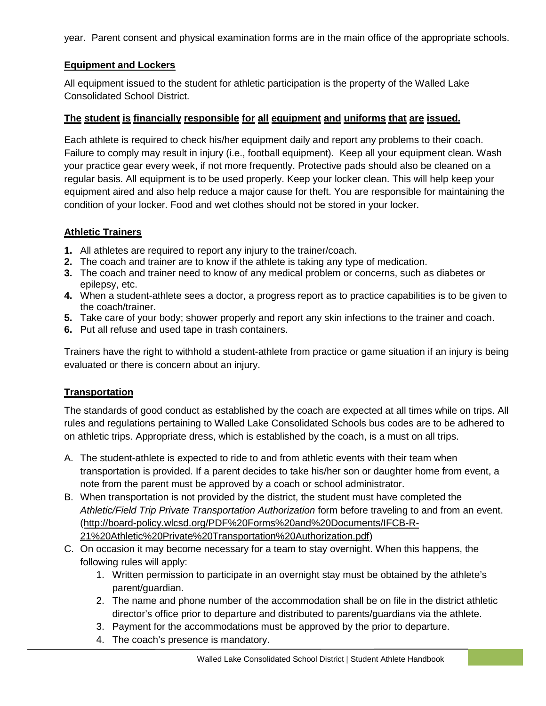year. Parent consent and physical examination forms are in the main office of the appropriate schools.

## <span id="page-15-0"></span>**Equipment and Lockers**

All equipment issued to the student for athletic participation is the property of the Walled Lake Consolidated School District.

#### **The student is financially responsible for all equipment and uniforms that are issued.**

Each athlete is required to check his/her equipment daily and report any problems to their coach. Failure to comply may result in injury (i.e., football equipment). Keep all your equipment clean. Wash your practice gear every week, if not more frequently. Protective pads should also be cleaned on a regular basis. All equipment is to be used properly. Keep your locker clean. This will help keep your equipment aired and also help reduce a major cause for theft. You are responsible for maintaining the condition of your locker. Food and wet clothes should not be stored in your locker.

# <span id="page-15-1"></span>**Athletic Trainers**

- **1.** All athletes are required to report any injury to the trainer/coach.
- **2.** The coach and trainer are to know if the athlete is taking any type of medication.
- **3.** The coach and trainer need to know of any medical problem or concerns, such as diabetes or epilepsy, etc.
- **4.** When a student-athlete sees a doctor, a progress report as to practice capabilities is to be given to the coach/trainer.
- **5.** Take care of your body; shower properly and report any skin infections to the trainer and coach.
- **6.** Put all refuse and used tape in trash containers.

Trainers have the right to withhold a student-athlete from practice or game situation if an injury is being evaluated or there is concern about an injury.

# <span id="page-15-2"></span>**Transportation**

The standards of good conduct as established by the coach are expected at all times while on trips. All rules and regulations pertaining to Walled Lake Consolidated Schools bus codes are to be adhered to on athletic trips. Appropriate dress, which is established by the coach, is a must on all trips.

- A. The student-athlete is expected to ride to and from athletic events with their team when transportation is provided. If a parent decides to take his/her son or daughter home from event, a note from the parent must be approved by a coach or school administrator.
- B. When transportation is not provided by the district, the student must have completed the *Athletic/Field Trip Private Transportation Authorization* form before traveling to and from an event. [\(http://board-policy.wlcsd.org/PDF%20Forms%20and%20Documents/IFCB-R-](http://board-policy.wlcsd.org/PDF%20Forms%20and%20Documents/IFCB-R-21%20Athletic%20Private%20Transportation%20Authorization.pdf)[21%20Athletic%20Private%20Transportation%20Authorization.pdf\)](http://board-policy.wlcsd.org/PDF%20Forms%20and%20Documents/IFCB-R-21%20Athletic%20Private%20Transportation%20Authorization.pdf)
- C. On occasion it may become necessary for a team to stay overnight. When this happens, the following rules will apply:
	- 1. Written permission to participate in an overnight stay must be obtained by the athlete's parent/guardian.
	- 2. The name and phone number of the accommodation shall be on file in the district athletic director's office prior to departure and distributed to parents/guardians via the athlete.
	- 3. Payment for the accommodations must be approved by the prior to departure.
	- 4. The coach's presence is mandatory.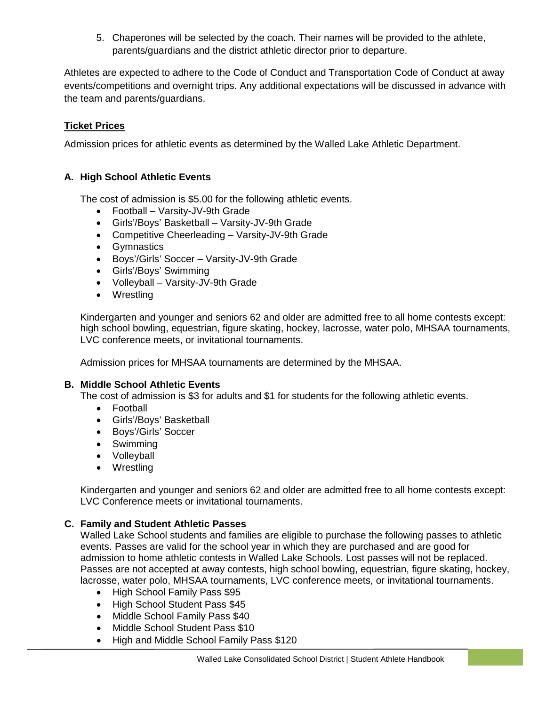5. Chaperones will be selected by the coach. Their names will be provided to the athlete, parents/guardians and the district athletic director prior to departure.

Athletes are expected to adhere to the Code of Conduct and Transportation Code of Conduct at away events/competitions and overnight trips. Any additional expectations will be discussed in advance with the team and parents/guardians.

#### <span id="page-16-0"></span>**Ticket Prices**

Admission prices for athletic events as determined by the Walled Lake Athletic Department.

#### **A. High School Athletic Events**

The cost of admission is \$5.00 for the following athletic events.

- Football Varsity-JV-9th Grade
- Girls'/Boys' Basketball Varsity-JV-9th Grade
- Competitive Cheerleading Varsity-JV-9th Grade
- Gymnastics
- Boys'/Girls' Soccer Varsity-JV-9th Grade
- Girls'/Boys' Swimming
- Volleyball Varsity-JV-9th Grade
- Wrestling

Kindergarten and younger and seniors 62 and older are admitted free to all home contests except: high school bowling, equestrian, figure skating, hockey, lacrosse, water polo, MHSAA tournaments, LVC conference meets, or invitational tournaments.

Admission prices for MHSAA tournaments are determined by the MHSAA.

#### **B. Middle School Athletic Events**

The cost of admission is \$3 for adults and \$1 for students for the following athletic events.

- Football
- Girls'/Boys' Basketball
- Boys'/Girls' Soccer
- Swimming
- Volleyball
- Wrestling

Kindergarten and younger and seniors 62 and older are admitted free to all home contests except: LVC Conference meets or invitational tournaments.

#### **C. Family and Student Athletic Passes**

Walled Lake School students and families are eligible to purchase the following passes to athletic events. Passes are valid for the school year in which they are purchased and are good for admission to home athletic contests in Walled Lake Schools. Lost passes will not be replaced. Passes are not accepted at away contests, high school bowling, equestrian, figure skating, hockey, lacrosse, water polo, MHSAA tournaments, LVC conference meets, or invitational tournaments.

- High School Family Pass \$95
- High School Student Pass \$45
- Middle School Family Pass \$40
- <span id="page-16-1"></span>• Middle School Student Pass \$10
- High and Middle School Family Pass \$120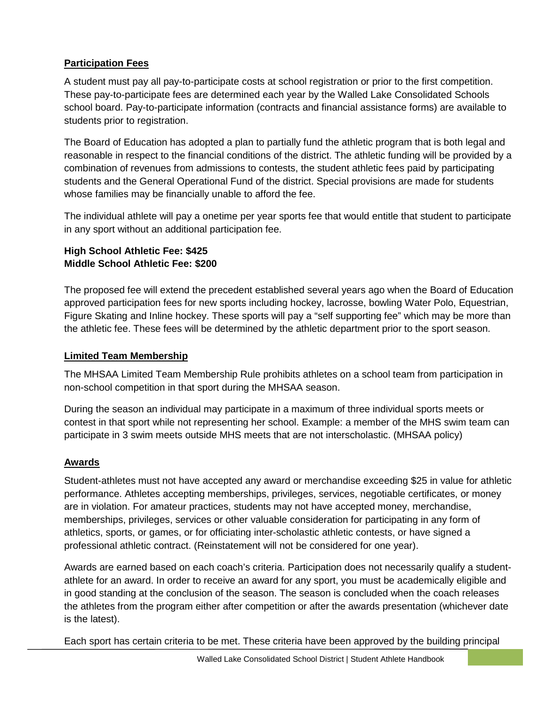# **Participation Fees**

A student must pay all pay-to-participate costs at school registration or prior to the first competition. These pay-to-participate fees are determined each year by the Walled Lake Consolidated Schools school board. Pay-to-participate information (contracts and financial assistance forms) are available to students prior to registration.

The Board of Education has adopted a plan to partially fund the athletic program that is both legal and reasonable in respect to the financial conditions of the district. The athletic funding will be provided by a combination of revenues from admissions to contests, the student athletic fees paid by participating students and the General Operational Fund of the district. Special provisions are made for students whose families may be financially unable to afford the fee.

The individual athlete will pay a onetime per year sports fee that would entitle that student to participate in any sport without an additional participation fee.

# **High School Athletic Fee: \$425 Middle School Athletic Fee: \$200**

The proposed fee will extend the precedent established several years ago when the Board of Education approved participation fees for new sports including hockey, lacrosse, bowling Water Polo, Equestrian, Figure Skating and Inline hockey. These sports will pay a "self supporting fee" which may be more than the athletic fee. These fees will be determined by the athletic department prior to the sport season.

# <span id="page-17-0"></span>**Limited Team Membership**

The MHSAA Limited Team Membership Rule prohibits athletes on a school team from participation in non-school competition in that sport during the MHSAA season.

During the season an individual may participate in a maximum of three individual sports meets or contest in that sport while not representing her school. Example: a member of the MHS swim team can participate in 3 swim meets outside MHS meets that are not interscholastic. (MHSAA policy)

# <span id="page-17-1"></span>**Awards**

Student-athletes must not have accepted any award or merchandise exceeding \$25 in value for athletic performance. Athletes accepting memberships, privileges, services, negotiable certificates, or money are in violation. For amateur practices, students may not have accepted money, merchandise, memberships, privileges, services or other valuable consideration for participating in any form of athletics, sports, or games, or for officiating inter-scholastic athletic contests, or have signed a professional athletic contract. (Reinstatement will not be considered for one year).

Awards are earned based on each coach's criteria. Participation does not necessarily qualify a studentathlete for an award. In order to receive an award for any sport, you must be academically eligible and in good standing at the conclusion of the season. The season is concluded when the coach releases the athletes from the program either after competition or after the awards presentation (whichever date is the latest).

Each sport has certain criteria to be met. These criteria have been approved by the building principal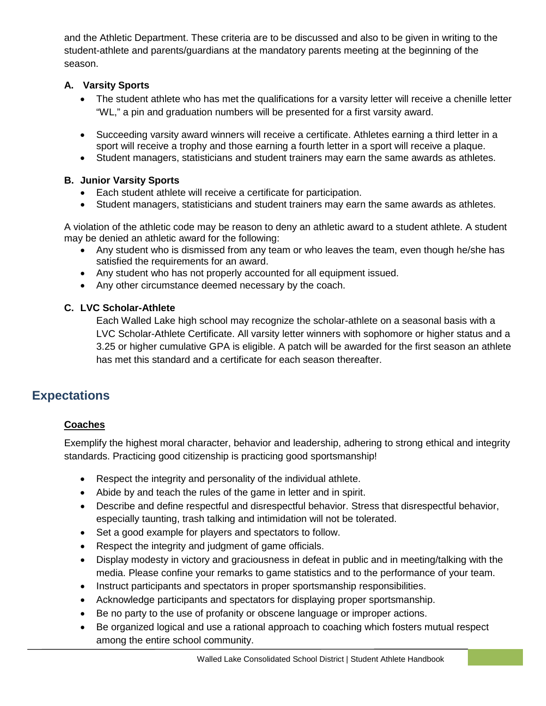and the Athletic Department. These criteria are to be discussed and also to be given in writing to the student-athlete and parents/guardians at the mandatory parents meeting at the beginning of the season.

## **A. Varsity Sports**

- The student athlete who has met the qualifications for a varsity letter will receive a chenille letter "WL," a pin and graduation numbers will be presented for a first varsity award.
- Succeeding varsity award winners will receive a certificate. Athletes earning a third letter in a sport will receive a trophy and those earning a fourth letter in a sport will receive a plaque.
- Student managers, statisticians and student trainers may earn the same awards as athletes.

#### **B. Junior Varsity Sports**

- Each student athlete will receive a certificate for participation.
- Student managers, statisticians and student trainers may earn the same awards as athletes.

A violation of the athletic code may be reason to deny an athletic award to a student athlete. A student may be denied an athletic award for the following:

- Any student who is dismissed from any team or who leaves the team, even though he/she has satisfied the requirements for an award.
- Any student who has not properly accounted for all equipment issued.
- Any other circumstance deemed necessary by the coach.

#### **C. LVC Scholar-Athlete**

Each Walled Lake high school may recognize the scholar-athlete on a seasonal basis with a LVC Scholar-Athlete Certificate. All varsity letter winners with sophomore or higher status and a 3.25 or higher cumulative GPA is eligible. A patch will be awarded for the first season an athlete has met this standard and a certificate for each season thereafter.

# <span id="page-18-1"></span><span id="page-18-0"></span>**Expectations**

#### **Coaches**

Exemplify the highest moral character, behavior and leadership, adhering to strong ethical and integrity standards. Practicing good citizenship is practicing good sportsmanship!

- Respect the integrity and personality of the individual athlete.
- Abide by and teach the rules of the game in letter and in spirit.
- Describe and define respectful and disrespectful behavior. Stress that disrespectful behavior, especially taunting, trash talking and intimidation will not be tolerated.
- Set a good example for players and spectators to follow.
- Respect the integrity and judgment of game officials.
- Display modesty in victory and graciousness in defeat in public and in meeting/talking with the media. Please confine your remarks to game statistics and to the performance of your team.
- Instruct participants and spectators in proper sportsmanship responsibilities.
- Acknowledge participants and spectators for displaying proper sportsmanship.
- Be no party to the use of profanity or obscene language or improper actions.
- Be organized logical and use a rational approach to coaching which fosters mutual respect among the entire school community.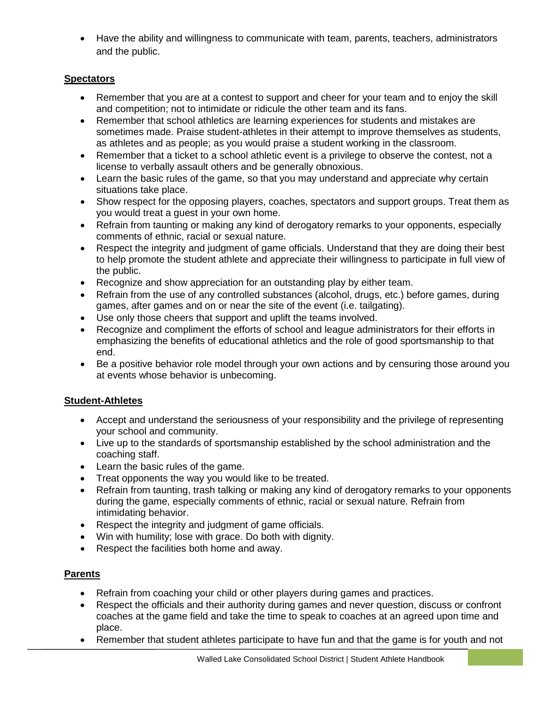• Have the ability and willingness to communicate with team, parents, teachers, administrators and the public.

#### <span id="page-19-0"></span>**Spectators**

- Remember that you are at a contest to support and cheer for your team and to enjoy the skill and competition; not to intimidate or ridicule the other team and its fans.
- Remember that school athletics are learning experiences for students and mistakes are sometimes made. Praise student-athletes in their attempt to improve themselves as students, as athletes and as people; as you would praise a student working in the classroom.
- Remember that a ticket to a school athletic event is a privilege to observe the contest, not a license to verbally assault others and be generally obnoxious.
- Learn the basic rules of the game, so that you may understand and appreciate why certain situations take place.
- Show respect for the opposing players, coaches, spectators and support groups. Treat them as you would treat a guest in your own home.
- Refrain from taunting or making any kind of derogatory remarks to your opponents, especially comments of ethnic, racial or sexual nature.
- Respect the integrity and judgment of game officials. Understand that they are doing their best to help promote the student athlete and appreciate their willingness to participate in full view of the public.
- Recognize and show appreciation for an outstanding play by either team.
- Refrain from the use of any controlled substances (alcohol, drugs, etc.) before games, during games, after games and on or near the site of the event (i.e. tailgating).
- Use only those cheers that support and uplift the teams involved.
- Recognize and compliment the efforts of school and league administrators for their efforts in emphasizing the benefits of educational athletics and the role of good sportsmanship to that end.
- Be a positive behavior role model through your own actions and by censuring those around you at events whose behavior is unbecoming.

#### <span id="page-19-1"></span>**Student-Athletes**

- Accept and understand the seriousness of your responsibility and the privilege of representing your school and community.
- Live up to the standards of sportsmanship established by the school administration and the coaching staff.
- Learn the basic rules of the game.
- Treat opponents the way you would like to be treated.
- Refrain from taunting, trash talking or making any kind of derogatory remarks to your opponents during the game, especially comments of ethnic, racial or sexual nature. Refrain from intimidating behavior.
- Respect the integrity and judgment of game officials.
- Win with humility; lose with grace. Do both with dignity.
- Respect the facilities both home and away.

#### <span id="page-19-2"></span>**Parents**

- Refrain from coaching your child or other players during games and practices.
- Respect the officials and their authority during games and never question, discuss or confront coaches at the game field and take the time to speak to coaches at an agreed upon time and place.
- Remember that student athletes participate to have fun and that the game is for youth and not